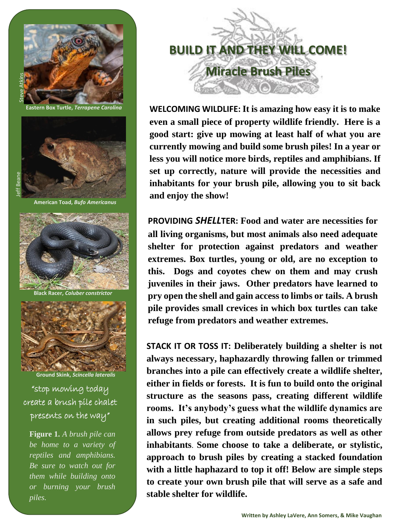

**Eastern Box Turtle,** *Terrapene Carolina* 



**American Toad,** *Bufo Americanus* 



**Black Racer,** *Coluber constrictor* 



**Ground Skink,** *Scincella lateralis* 

"stop mowing today create a brush pile chalet

**Figure 1.** *A brush pile can be home to a variety of reptiles and amphibians. Be sure to watch out for them while building onto or burning your brush piles.*



**WELCOMING WILDLIFE: It is amazing how easy it is to make even a small piece of property wildlife friendly. Here is a good start: give up mowing at least half of what you are currently mowing and build some brush piles! In a year or less you will notice more birds, reptiles and amphibians. If set up correctly, nature will provide the necessities and inhabitants for your brush pile, allowing you to sit back and enjoy the show!** 

**PROVIDING** *SHELL***TER: Food and water are necessities for all living organisms, but most animals also need adequate shelter for protection against predators and weather extremes. Box turtles, young or old, are no exception to this. Dogs and coyotes chew on them and may crush juveniles in their jaws. Other predators have learned to pry open the shell and gain access to limbs or tails. A brush pile provides small crevices in which box turtles can take refuge from predators and weather extremes.** 

**STACK IT OR TOSS IT: Deliberately building a shelter is not always necessary, haphazardly throwing fallen or trimmed branches into a pile can effectively create a wildlife shelter, either in fields or forests. It is fun to build onto the original structure as the seasons pass, creating different wildlife rooms. It's anybody's guess what the wildlife dynamics are in such piles, but creating additional rooms theoretically allows prey refuge from outside predators as well as other inhabitants**. **Some choose to take a deliberate, or stylistic, approach to brush piles by creating a stacked foundation with a little haphazard to top it off! Below are simple steps to create your own brush pile that will serve as a safe and stable shelter for wildlife.**